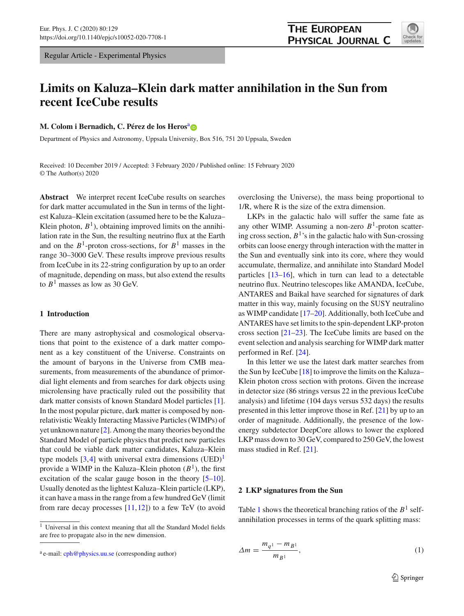Regular Article - Experimental Physics

# **THE EUROPEAN** PHYSICAL JOURNAL C



# **Limits on Kaluza–Klein dark matter annihilation in the Sun from recent IceCube results**

**M. Colom i Bern[a](http://orcid.org/0000-0002-2084-5866)dich, C. Pérez de los Heros**<sup>a</sup>

Department of Physics and Astronomy, Uppsala University, Box 516, 751 20 Uppsala, Sweden

Received: 10 December 2019 / Accepted: 3 February 2020 / Published online: 15 February 2020 © The Author(s) 2020

**Abstract** We interpret recent IceCube results on searches for dark matter accumulated in the Sun in terms of the lightest Kaluza–Klein excitation (assumed here to be the Kaluza– Klein photon,  $B<sup>1</sup>$ ), obtaining improved limits on the annihilation rate in the Sun, the resulting neutrino flux at the Earth and on the  $B^1$ -proton cross-sections, for  $B^1$  masses in the range 30–3000 GeV. These results improve previous results from IceCube in its 22-string configuration by up to an order of magnitude, depending on mass, but also extend the results to  $B<sup>1</sup>$  masses as low as 30 GeV.

# **1 Introduction**

There are many astrophysical and cosmological observations that point to the existence of a dark matter component as a key constituent of the Universe. Constraints on the amount of baryons in the Universe from CMB measurements, from measurements of the abundance of primordial light elements and from searches for dark objects using microlensing have practically ruled out the possibility that dark matter consists of known Standard Model particles [\[1](#page-4-0)]. In the most popular picture, dark matter is composed by nonrelativistic Weakly Interacting Massive Particles (WIMPs) of yet unknown nature [\[2\]](#page-4-1). Among the many theories beyond the Standard Model of particle physics that predict new particles that could be viable dark matter candidates, Kaluza–Klein type models  $[3,4]$  $[3,4]$  with universal extra dimensions  $(UED)^{1}$ provide a WIMP in the Kaluza–Klein photon  $(B^1)$ , the first excitation of the scalar gauge boson in the theory [\[5](#page-4-4)[–10](#page-4-5)]. Usually denoted as the lightest Kaluza–Klein particle (LKP), it can have a mass in the range from a few hundred GeV (limit from rare decay processes  $[11,12]$  $[11,12]$  $[11,12]$ ) to a few TeV (to avoid overclosing the Universe), the mass being proportional to 1/R, where R is the size of the extra dimension.

LKPs in the galactic halo will suffer the same fate as any other WIMP. Assuming a non-zero *B*1-proton scattering cross section,  $B<sup>1</sup>$ 's in the galactic halo with Sun-crossing orbits can loose energy through interaction with the matter in the Sun and eventually sink into its core, where they would accumulate, thermalize, and annihilate into Standard Model particles  $[13-16]$  $[13-16]$ , which in turn can lead to a detectable neutrino flux. Neutrino telescopes like AMANDA, IceCube, ANTARES and Baikal have searched for signatures of dark matter in this way, mainly focusing on the SUSY neutralino as WIMP candidate [\[17](#page-5-2)[–20\]](#page-5-3). Additionally, both IceCube and ANTARES have set limits to the spin-dependent LKP-proton cross section [\[21](#page-5-4)[–23](#page-5-5)]. The IceCube limits are based on the event selection and analysis searching for WIMP dark matter performed in Ref. [\[24](#page-5-6)].

In this letter we use the latest dark matter searches from the Sun by IceCube [\[18](#page-5-7)] to improve the limits on the Kaluza– Klein photon cross section with protons. Given the increase in detector size (86 strings versus 22 in the previous IceCube analysis) and lifetime (104 days versus 532 days) the results presented in this letter improve those in Ref. [\[21\]](#page-5-4) by up to an order of magnitude. Additionally, the presence of the lowenergy subdetector DeepCore allows to lower the explored LKP mass down to 30 GeV, compared to 250 GeV, the lowest mass studied in Ref. [\[21\]](#page-5-4).

#### **2 LKP signatures from the Sun**

Table [1](#page-1-0) shows the theoretical branching ratios of the  $B<sup>1</sup>$  selfannihilation processes in terms of the quark splitting mass:

$$
\Delta m = \frac{m_{q^1} - m_{B^1}}{m_{B^1}},\tag{1}
$$

<sup>&</sup>lt;sup>1</sup> Universal in this context meaning that all the Standard Model fields are free to propagate also in the new dimension.

 $a$  e-mail: [cph@physics.uu.se](mailto:cph@physics.uu.se) (corresponding author)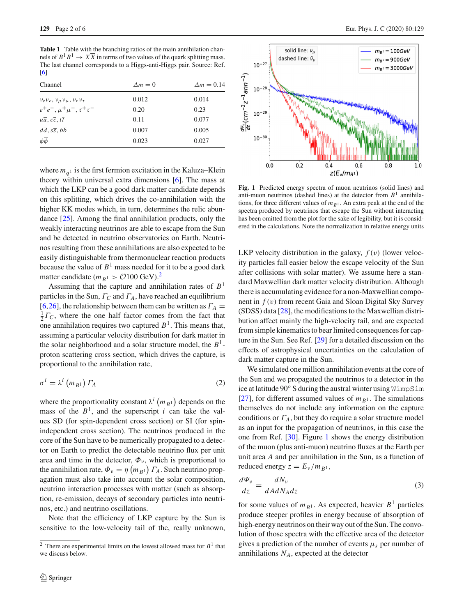<span id="page-1-0"></span>**Table 1** Table with the branching ratios of the main annihilation channels of  $B^1B^1 \to X\overline{X}$  in terms of two values of the quark splitting mass. The last channel corresponds to a Higgs-anti-Higgs pair. Source: Ref. [\[6](#page-4-8)]

| Channel                                                                | $\Delta m = 0$ | $\Delta m = 0.14$ |  |
|------------------------------------------------------------------------|----------------|-------------------|--|
| $v_e \overline{v}_e, v_\mu \overline{v}_\mu, v_\tau \overline{v}_\tau$ | 0.012          | 0.014             |  |
| $e^+e^-, \mu^+\mu^-, \tau^+\tau^-$                                     | 0.20           | 0.23              |  |
| $u\overline{u}$ , $c\overline{c}$ , $t\overline{t}$                    | 0.11           | 0.077             |  |
| $d\overline{d}, s\overline{s}, b\overline{b}$                          | 0.007          | 0.005             |  |
| $\phi \overline{\phi}$                                                 | 0.023          | 0.027             |  |

where  $m<sub>a</sub><sup>1</sup>$  is the first fermion excitation in the Kaluza–Klein theory within universal extra dimensions [\[6\]](#page-4-8). The mass at which the LKP can be a good dark matter candidate depends on this splitting, which drives the co-annihilation with the higher KK modes which, in turn, determines the relic abundance [\[25](#page-5-8)]. Among the final annihilation products, only the weakly interacting neutrinos are able to escape from the Sun and be detected in neutrino observatories on Earth. Neutrinos resulting from these annihilations are also expected to be easily distinguishable from thermonuclear reaction products because the value of  $B<sup>1</sup>$  mass needed for it to be a good dark matter candidate  $(m_{B^1} > O100 \text{ GeV})$ .<sup>[2](#page-1-1)</sup>

Assuming that the capture and annihilation rates of *B*<sup>1</sup> particles in the Sun, Γ*C* and Γ*A*, have reached an equilibrium [\[6](#page-4-8),[26\]](#page-5-9), the relationship between them can be written as  $\Gamma_A$  =  $\frac{1}{2}$  $\Gamma_c$ , where the one half factor comes from the fact that one annihilation requires two captured *B*1. This means that, assuming a particular velocity distribution for dark matter in the solar neighborhood and a solar structure model, the  $B<sup>1</sup>$ proton scattering cross section, which drives the capture, is proportional to the annihilation rate,

$$
\sigma^i = \lambda^i \left( m_{B^1} \right) \varGamma_A \tag{2}
$$

where the proportionality constant  $\lambda^i$   $(m_{B^1})$  depends on the mass of the  $B<sup>1</sup>$ , and the superscript *i* can take the values SD (for spin-dependent cross section) or SI (for spinindependent cross section). The neutrinos produced in the core of the Sun have to be numerically propagated to a detector on Earth to predict the detectable neutrino flux per unit area and time in the detector,  $\Phi_{\nu}$ , which is proportional to the annihilation rate,  $\Phi_{\nu} = \eta \left( m_{B^1} \right) \Gamma_A$ . Such neutrino propagation must also take into account the solar composition, neutrino interaction processes with matter (such as absorption, re-emission, decays of secondary particles into neutrinos, etc.) and neutrino oscillations.

Note that the efficiency of LKP capture by the Sun is sensitive to the low-velocity tail of the, really unknown,



<span id="page-1-2"></span>**Fig. 1** Predicted energy spectra of muon neutrinos (solid lines) and anti-muon neutrinos (dashed lines) at the detector from  $B<sup>1</sup>$  annihilations, for three different values of  $m_{B<sup>1</sup>}$ . An extra peak at the end of the spectra produced by neutrinos that escape the Sun without interacting has been omitted from the plot for the sake of legibility, but it is considered in the calculations. Note the normalization in relative energy units

LKP velocity distribution in the galaxy,  $f(v)$  (lower velocity particles fall easier below the escape velocity of the Sun after collisions with solar matter). We assume here a standard Maxwellian dark matter velocity distribution. Although there is accumulating evidence for a non-Maxwellian component in *f* (v) from recent Gaia and Sloan Digital Sky Survey (SDSS) data [\[28](#page-5-10)], the modifications to the Maxwellian distribution affect mainly the high-velocity tail, and are expected from simple kinematics to bear limited consequences for capture in the Sun. See Ref. [\[29\]](#page-5-11) for a detailed discussion on the effects of astrophysical uncertainties on the calculation of dark matter capture in the Sun.

<span id="page-1-3"></span>We simulated one million annihilation events at the core of the Sun and we propagated the neutrinos to a detector in the ice at latitude 90◦ S during the austral winter using WimpSim [\[27](#page-5-12)], for different assumed values of  $m_{B^1}$ . The simulations themselves do not include any information on the capture conditions or  $\Gamma_A$ , but they do require a solar structure model as an input for the propagation of neutrinos, in this case the one from Ref. [\[30](#page-5-13)]. Figure [1](#page-1-2) shows the energy distribution of the muon (plus anti-muon) neutrino fluxes at the Earth per unit area *A* and per annihilation in the Sun, as a function of reduced energy  $z = E_v / m_{B^1}$ ,

$$
\frac{d\Psi_{\nu}}{dz} = \frac{dN_{\nu}}{dAdN_{A}dz} \tag{3}
$$

for some values of  $m_{B^1}$ . As expected, heavier  $B^1$  particles produce steeper profiles in energy because of absorption of high-energy neutrinos on their way out of the Sun. The convolution of those spectra with the effective area of the detector gives a prediction of the number of events  $\mu_s$  per number of annihilations  $N_A$ , expected at the detector

<span id="page-1-1"></span><sup>&</sup>lt;sup>2</sup> There are experimental limits on the lowest allowed mass for  $B<sup>1</sup>$  that we discuss below.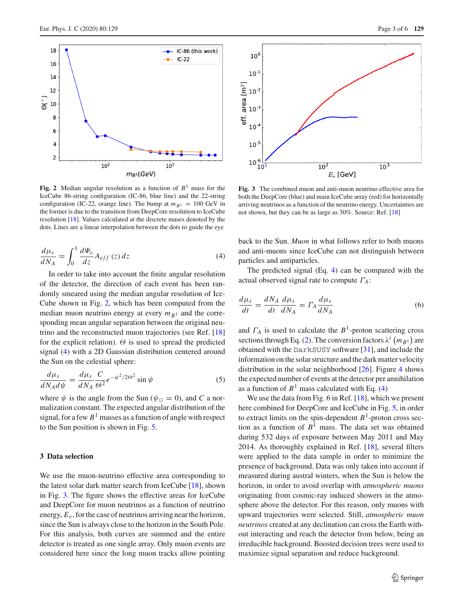

<span id="page-2-0"></span>**Fig. 2** Median angular resolution as a function of  $B<sup>1</sup>$  mass for the IceCube 86-string configuration (IC-86, blue line) and the 22-string configuration (IC-22, orange line). The bump at  $m_{B<sup>1</sup>} = 100$  GeV in the former is due to the transition from DeepCore resolution to IceCube resolution [\[18](#page-5-7)]. Values calculated at the discrete mases denoted by the dots. Lines are a linear interpolation between the dots to guide the eye

<span id="page-2-1"></span>
$$
\frac{d\mu_s}{dN_A} = \int_0^1 \frac{d\Psi_\nu}{dz} A_{eff} (z) dz
$$
\n(4)

In order to take into account the finite angular resolution of the detector, the direction of each event has been randomly smeared using the median angular resolution of Ice-Cube shown in Fig. [2,](#page-2-0) which has been computed from the median muon neutrino energy at every  $m_{B<sup>1</sup>}$  and the corresponding mean angular separation between the original neutrino and the reconstructed muon trajectories (see Ref. [\[18\]](#page-5-7) for the explicit relation).  $\Theta$  is used to spread the predicted signal [\(4\)](#page-2-1) with a 2D Gaussian distribution centered around the Sun on the celestial sphere:

$$
\frac{d\mu_s}{dN_A d\psi} = \frac{d\mu_s}{dN_A} \frac{C}{\Theta^2} e^{-\psi^2/2\Theta^2} \sin\psi \tag{5}
$$

where  $\psi$  is the angle from the Sun ( $\psi_{\odot} = 0$ ), and *C* a normalization constant. The expected angular distribution of the signal, for a few  $B<sup>1</sup>$  masses as a function of angle with respect to the Sun position is shown in Fig. [5.](#page-3-0)

## **3 Data selection**

We use the muon-neutrino effective area corresponding to the latest solar dark matter search from IceCube [\[18](#page-5-7)], shown in Fig. [3.](#page-2-2) The figure shows the effective areas for IceCube and DeepCore for muon neutrinos as a function of neutrino energy,  $E<sub>v</sub>$ , for the case of neutrinos arriving near the horizon, since the Sun is always close to the horizon in the South Pole. For this analysis, both curves are summed and the entire detector is treated as one single array. Only muon events are considered here since the long muon tracks allow pointing



<span id="page-2-2"></span>**Fig. 3** The combined muon and anti-muon neutrino effective area for both the DeepCore (blue) and main IceCube array (red) for horizontally arriving neutrinos as a function of the neutrino energy. Uncertainties are not shown, but they can be as large as 30%. Source: Ref. [\[18](#page-5-7)]

back to the Sun. *Muon* in what follows refer to both muons and anti-muons since IceCube can not distinguish between particles and antiparticles.

The predicted signal (Eq. [4\)](#page-2-1) can be compared with the actual observed signal rate to compute Γ*A*:

<span id="page-2-3"></span>
$$
\frac{d\mu_s}{dt} = \frac{dN_A}{dt}\frac{d\mu_s}{dN_A} = \Gamma_A \frac{d\mu_s}{dN_A} \tag{6}
$$

and  $\Gamma_A$  is used to calculate the  $B^1$ -proton scattering cross sections through Eq. [\(2\)](#page-1-3). The conversion factors  $\lambda^i$  ( $m_{B1}$ ) are obtained with the DarkSUSY software [\[31](#page-5-14)], and include the information on the solar structure and the dark matter velocity distribution in the solar neighborhood  $[26]$  $[26]$ . Figure [4](#page-3-1) shows the expected number of events at the detector per annihilation as a function of  $B<sup>1</sup>$  mass calculated with Eq. [\(4\)](#page-2-1)

We use the data from Fig. 6 in Ref. [\[18\]](#page-5-7), which we present here combined for DeepCore and IceCube in Fig. [5,](#page-3-0) in order to extract limits on the spin-dependent *B*1-proton cross section as a function of  $B<sup>1</sup>$  mass. The data set was obtained during 532 days of exposure between May 2011 and May 2014. As thoroughly explained in Ref. [\[18\]](#page-5-7), several filters were applied to the data sample in order to minimize the presence of background. Data was only taken into account if measured during austral winters, when the Sun is below the horizon, in order to avoid overlap with *atmospheric muons* originating from cosmic-ray induced showers in the atmosphere above the detector. For this reason, only muons with upward trajectories were selected. Still, *atmospheric muon neutrinos* created at any declination can cross the Earth without interacting and reach the detector from below, being an irreducible background. Boosted decision trees were used to maximize signal separation and reduce background.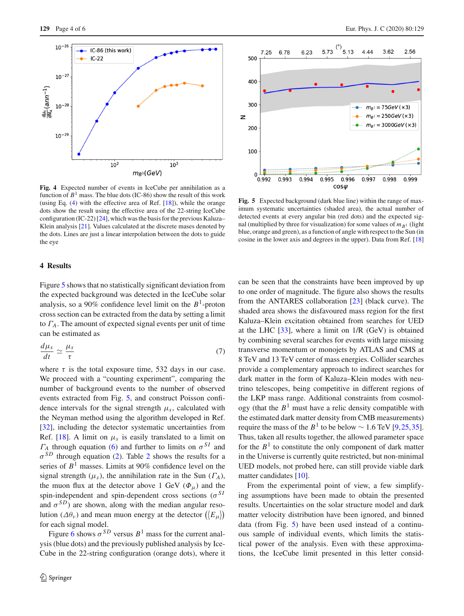

<span id="page-3-1"></span>**Fig. 4** Expected number of events in IceCube per annihilation as a function of  $B<sup>1</sup>$  mass. The blue dots (IC-86) show the result of this work (using Eq. [\(4\)](#page-2-1) with the effective area of Ref. [\[18\]](#page-5-7)), while the orange dots show the result using the effective area of the 22-string IceCube configuration (IC-22) [\[24](#page-5-6)], which was the basis for the previous Kaluza– Klein analysis [\[21](#page-5-4)]. Values calculated at the discrete mases denoted by the dots. Lines are just a linear interpolation between the dots to guide the eye

# **4 Results**

Figure [5](#page-3-0) shows that no statistically significant deviation from the expected background was detected in the IceCube solar analysis, so a 90% confidence level limit on the  $B<sup>1</sup>$ -proton cross section can be extracted from the data by setting a limit to Γ*A*. The amount of expected signal events per unit of time can be estimated as

$$
\frac{d\mu_s}{dt} \simeq \frac{\mu_s}{\tau} \tag{7}
$$

where  $\tau$  is the total exposure time, 532 days in our case. We proceed with a "counting experiment", comparing the number of background events to the number of observed events extracted from Fig. [5,](#page-3-0) and construct Poisson confidence intervals for the signal strength  $\mu_s$ , calculated with the Neyman method using the algorithm developed in Ref. [\[32](#page-5-15)], including the detector systematic uncertainties from Ref. [\[18](#page-5-7)]. A limit on  $\mu_s$  is easily translated to a limit on  $\Gamma_A$  through equation [\(6\)](#page-2-3) and further to limits on  $\sigma^{SI}$  and  $\sigma^{SD}$  through equation [\(2\)](#page-1-3). Table [2](#page-4-9) shows the results for a series of  $B<sup>1</sup>$  masses. Limits at 90% confidence level on the signal strength ( $\mu_s$ ), the annihilation rate in the Sun ( $\Gamma_A$ ), the muon flux at the detector above 1 GeV  $(\Phi_{\mu})$  and the spin-independent and spin-dependent cross sections ( $\sigma^{SI}$ and  $\sigma^{SD}$ ) are shown, along with the median angular resolution ( $\Delta\theta_v$ ) and mean muon energy at the detector  $(\langle E_\mu \rangle)$ for each signal model.

Figure [6](#page-4-10) shows  $\sigma^{SD}$  versus  $B^1$  mass for the current analysis (blue dots) and the previously published analysis by Ice-Cube in the 22-string configuration (orange dots), where it



<span id="page-3-0"></span>**Fig. 5** Expected background (dark blue line) within the range of maximum systematic uncertainties (shaded area), the actual number of detected events at every angular bin (red dots) and the expected signal (multiplied by three for visualization) for some values of  $m_{B<sup>1</sup>}$  (light blue, orange and green), as a function of angle with respect to the Sun (in cosine in the lower axis and degrees in the upper). Data from Ref. [\[18](#page-5-7)]

can be seen that the constraints have been improved by up to one order of magnitude. The figure also shows the results from the ANTARES collaboration [\[23](#page-5-5)] (black curve). The shaded area shows the disfavoured mass region for the first Kaluza–Klein excitation obtained from searches for UED at the LHC [\[33](#page-5-16)], where a limit on 1/R (GeV) is obtained by combining several searches for events with large missing transverse momentum or monojets by ATLAS and CMS at 8 TeV and 13 TeV center of mass energies. Collider searches provide a complementary approach to indirect searches for dark matter in the form of Kaluza–Klein modes with neutrino telescopes, being competitive in different regions of the LKP mass range. Additional constraints from cosmology (that the  $B<sup>1</sup>$  must have a relic density compatible with the estimated dark matter density from CMB measurements) require the mass of the  $B<sup>1</sup>$  to be below ~ 1.6 TeV [\[9](#page-4-11)[,25](#page-5-8)[,35](#page-5-17)]. Thus, taken all results together, the allowed parameter space for the  $B<sup>1</sup>$  to constitute the only component of dark matter in the Universe is currently quite restricted, but non-minimal UED models, not probed here, can still provide viable dark matter candidates [\[10\]](#page-4-5).

From the experimental point of view, a few simplifying assumptions have been made to obtain the presented results. Uncertainties on the solar structure model and dark matter velocity distribution have been ignored, and binned data (from Fig. [5\)](#page-3-0) have been used instead of a continuous sample of individual events, which limits the statistical power of the analysis. Even with these approximations, the IceCube limit presented in this letter consid-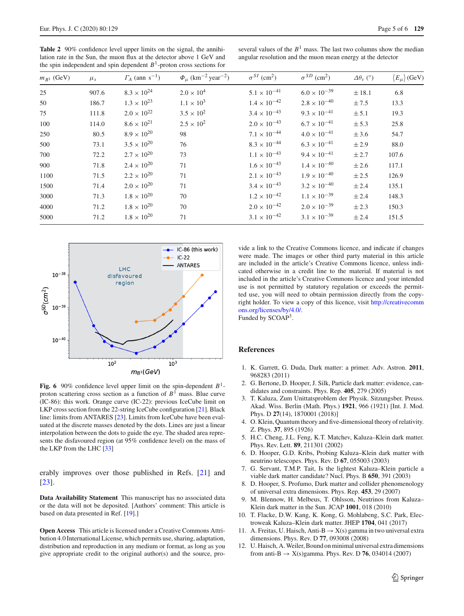<span id="page-4-9"></span>Table 2 90% confidence level upper limits on the signal, the annihilation rate in the Sun, the muon flux at the detector above 1 GeV and the spin independent and spin dependent  $B<sup>1</sup>$ -proton cross sections for

several values of the  $B<sup>1</sup>$  mass. The last two columns show the median angular resolution and the muon mean energy at the detector

| $m_{B^1}$ (GeV) | $\mu_s$ | $\Gamma_A$ (ann s <sup>-1</sup> ) | $\Phi_{\mu}$ (km <sup>-2</sup> year <sup>-2</sup> ) | $\sigma^{SI}$ (cm <sup>2</sup> ) | $\sigma^{SD}$ (cm <sup>2</sup> ) | $\Delta\theta_\nu$ (°) | $\langle E_\mu \rangle$ (GeV) |
|-----------------|---------|-----------------------------------|-----------------------------------------------------|----------------------------------|----------------------------------|------------------------|-------------------------------|
| 25              | 907.6   | $8.3 \times 10^{24}$              | $2.0 \times 10^{4}$                                 | $5.1 \times 10^{-41}$            | $6.0 \times 10^{-39}$            | ± 18.1                 | 6.8                           |
| 50              | 186.7   | $1.3 \times 10^{23}$              | $1.1 \times 10^{3}$                                 | $1.4 \times 10^{-42}$            | $2.8 \times 10^{-40}$            | ±7.5                   | 13.3                          |
| 75              | 111.8   | $2.0 \times 10^{22}$              | $3.5 \times 10^{2}$                                 | $3.4 \times 10^{-43}$            | $9.3 \times 10^{-41}$            | ± 5.1                  | 19.3                          |
| 100             | 114.0   | $8.6 \times 10^{21}$              | $2.5 \times 10^{2}$                                 | $2.0 \times 10^{-43}$            | $6.7 \times 10^{-41}$            | ± 5.3                  | 25.8                          |
| 250             | 80.5    | $8.9 \times 10^{20}$              | 98                                                  | $7.1 \times 10^{-44}$            | $4.0 \times 10^{-41}$            | ± 3.6                  | 54.7                          |
| 500             | 73.1    | $3.5 \times 10^{20}$              | 76                                                  | $8.3 \times 10^{-44}$            | $6.3 \times 10^{-41}$            | ± 2.9                  | 88.0                          |
| 700             | 72.2    | $2.7 \times 10^{20}$              | 73                                                  | $1.1 \times 10^{-43}$            | $9.4 \times 10^{-41}$            | ± 2.7                  | 107.6                         |
| 900             | 71.8    | $2.4 \times 10^{20}$              | 71                                                  | $1.6 \times 10^{-43}$            | $1.4 \times 10^{-40}$            | ± 2.6                  | 117.1                         |
| 1100            | 71.5    | $2.2 \times 10^{20}$              | 71                                                  | $2.1 \times 10^{-43}$            | $1.9 \times 10^{-40}$            | ± 2.5                  | 126.9                         |
| 1500            | 71.4    | $2.0 \times 10^{20}$              | 71                                                  | $3.4 \times 10^{-43}$            | $3.2 \times 10^{-40}$            | ± 2.4                  | 135.1                         |
| 3000            | 71.3    | $1.8 \times 10^{20}$              | 70                                                  | $1.2 \times 10^{-42}$            | $1.1 \times 10^{-39}$            | ± 2.4                  | 148.3                         |
| 4000            | 71.2    | $1.8 \times 10^{20}$              | 70                                                  | $2.0 \times 10^{-42}$            | $2.0 \times 10^{-39}$            | $\pm 2.3$              | 150.3                         |
| 5000            | 71.2    | $1.8 \times 10^{20}$              | 71                                                  | $3.1 \times 10^{-42}$            | $3.1 \times 10^{-39}$            | ± 2.4                  | 151.5                         |



<span id="page-4-10"></span>**Fig. 6** 90% confidence level upper limit on the spin-dependent  $B^1$ proton scattering cross section as a function of  $B<sup>1</sup>$  mass. Blue curve (IC-86): this work. Orange curve (IC-22): previous IceCube limit on LKP cross section from the 22-string IceCube configuration [\[21\]](#page-5-4). Black line: limits from ANTARES [\[23\]](#page-5-5). Limits from IceCube have been evaluated at the discrete masses denoted by the dots. Lines are just a linear interpolation between the dots to guide the eye. The shaded area represents the disfavoured region (at 95% confidence level) on the mass of the LKP from the LHC [\[33](#page-5-16)]

erably improves over those published in Refs. [\[21](#page-5-4)] and [\[23](#page-5-5)].

**Data Availability Statement** This manuscript has no associated data or the data will not be deposited. [Authors' comment: This article is based on data presented in Ref. [\[19](#page-5-18)].]

**Open Access** This article is licensed under a Creative Commons Attribution 4.0 International License, which permits use, sharing, adaptation, distribution and reproduction in any medium or format, as long as you give appropriate credit to the original author(s) and the source, provide a link to the Creative Commons licence, and indicate if changes were made. The images or other third party material in this article are included in the article's Creative Commons licence, unless indicated otherwise in a credit line to the material. If material is not included in the article's Creative Commons licence and your intended use is not permitted by statutory regulation or exceeds the permitted use, you will need to obtain permission directly from the copyright holder. To view a copy of this licence, visit [http://creativecomm](http://creativecommons.org/licenses/by/4.0/) [ons.org/licenses/by/4.0/.](http://creativecommons.org/licenses/by/4.0/)

Funded by SCOAP<sup>3</sup>.

## **References**

- <span id="page-4-0"></span>1. K. Garrett, G. Duda, Dark matter: a primer. Adv. Astron. **2011**, 968283 (2011)
- <span id="page-4-1"></span>2. G. Bertone, D. Hooper, J. Silk, Particle dark matter: evidence, candidates and constraints. Phys. Rep. **405**, 279 (2005)
- <span id="page-4-2"></span>3. T. Kaluza, Zum Unittatsproblem der Physik. Sitzungsber. Preuss. Akad. Wiss. Berlin (Math. Phys.) **1921**, 966 (1921) [Int. J. Mod. Phys. D **27**(14), 1870001 (2018)]
- <span id="page-4-3"></span>4. O. Klein, Quantum theory and five-dimensional theory of relativity. Z. Phys. **37**, 895 (1926)
- <span id="page-4-4"></span>5. H.C. Cheng, J.L. Feng, K.T. Matchev, Kaluza–Klein dark matter. Phys. Rev. Lett. **89**, 211301 (2002)
- <span id="page-4-8"></span>6. D. Hooper, G.D. Kribs, Probing Kaluza–Klein dark matter with neutrino telescopes. Phys. Rev. D **67**, 055003 (2003)
- 7. G. Servant, T.M.P. Tait, Is the lightest Kaluza–Klein particle a viable dark matter candidate? Nucl. Phys. B **650**, 391 (2003)
- 8. D. Hooper, S. Profumo, Dark matter and collider phenomenology of universal extra dimensions. Phys. Rep. **453**, 29 (2007)
- <span id="page-4-11"></span>9. M. Blennow, H. Melbeus, T. Ohlsson, Neutrinos from Kaluza– Klein dark matter in the Sun. JCAP **1001**, 018 (2010)
- <span id="page-4-5"></span>10. T. Flacke, D.W. Kang, K. Kong, G. Mohlabeng, S.C. Park, Electroweak Kaluza–Klein dark matter. JHEP **1704**, 041 (2017)
- <span id="page-4-6"></span>11. A. Freitas, U. Haisch, Anti-B  $\rightarrow$  X(s) gamma in two universal extra dimensions. Phys. Rev. D **77**, 093008 (2008)
- <span id="page-4-7"></span>12. U. Haisch, A. Weiler, Bound on minimal universal extra dimensions from anti-B  $\rightarrow$  X(s)gamma. Phys. Rev. D 76, 034014 (2007)